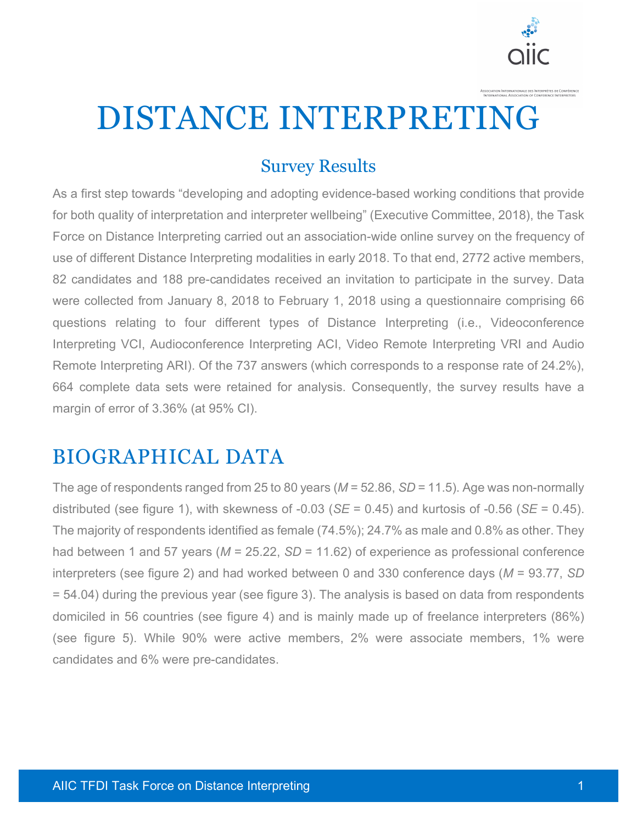

DISTANCE INTERPRETING

#### Survey Results

As a first step towards "developing and adopting evidence-based working conditions that provide for both quality of interpretation and interpreter wellbeing" (Executive Committee, 2018), the Task Force on Distance Interpreting carried out an association-wide online survey on the frequency of use of different Distance Interpreting modalities in early 2018. To that end, 2772 active members, 82 candidates and 188 pre-candidates received an invitation to participate in the survey. Data were collected from January 8, 2018 to February 1, 2018 using a questionnaire comprising 66 questions relating to four different types of Distance Interpreting (i.e., Videoconference Interpreting VCI, Audioconference Interpreting ACI, Video Remote Interpreting VRI and Audio Remote Interpreting ARI). Of the 737 answers (which corresponds to a response rate of 24.2%), 664 complete data sets were retained for analysis. Consequently, the survey results have a margin of error of 3.36% (at 95% CI).

#### BIOGRAPHICAL DATA

The age of respondents ranged from 25 to 80 years (*M* = 52.86, *SD* = 11.5). Age was non-normally distributed (see figure 1), with skewness of -0.03 (*SE* = 0.45) and kurtosis of -0.56 (*SE* = 0.45). The majority of respondents identified as female (74.5%); 24.7% as male and 0.8% as other. They had between 1 and 57 years (*M* = 25.22, *SD* = 11.62) of experience as professional conference interpreters (see figure 2) and had worked between 0 and 330 conference days (*M* = 93.77, *SD*  = 54.04) during the previous year (see figure 3). The analysis is based on data from respondents domiciled in 56 countries (see figure 4) and is mainly made up of freelance interpreters (86%) (see figure 5). While 90% were active members, 2% were associate members, 1% were candidates and 6% were pre-candidates.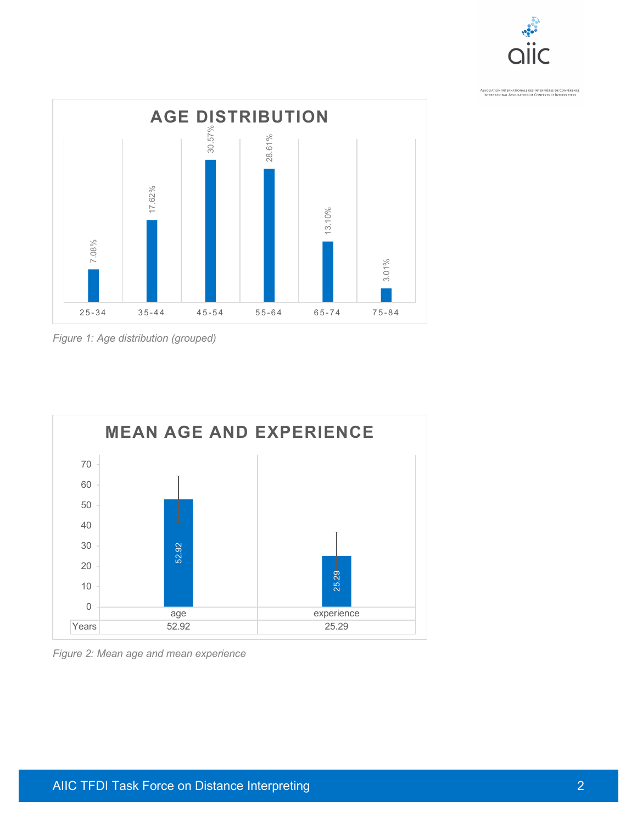



*Figure 1: Age distribution (grouped)*

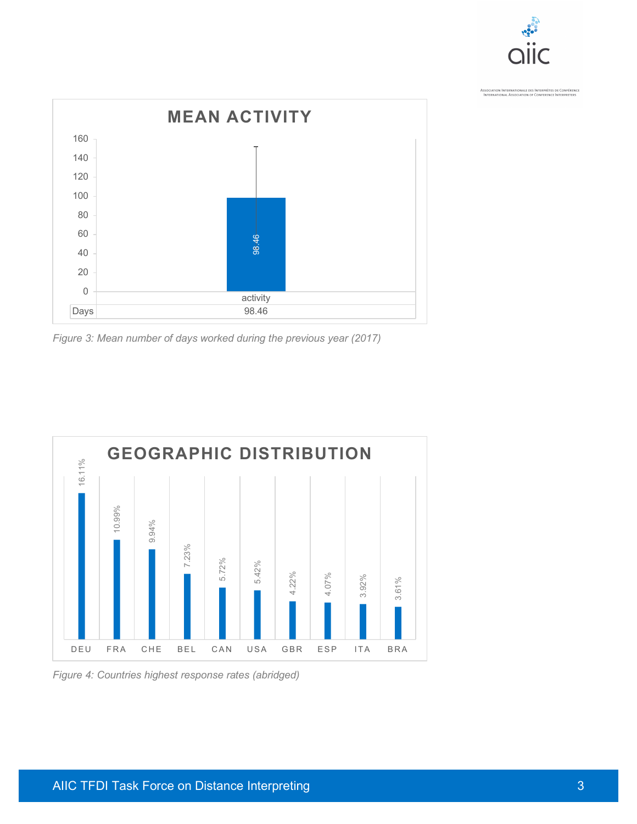



*Figure 3: Mean number of days worked during the previous year (2017)*



*Figure 4: Countries highest response rates (abridged)*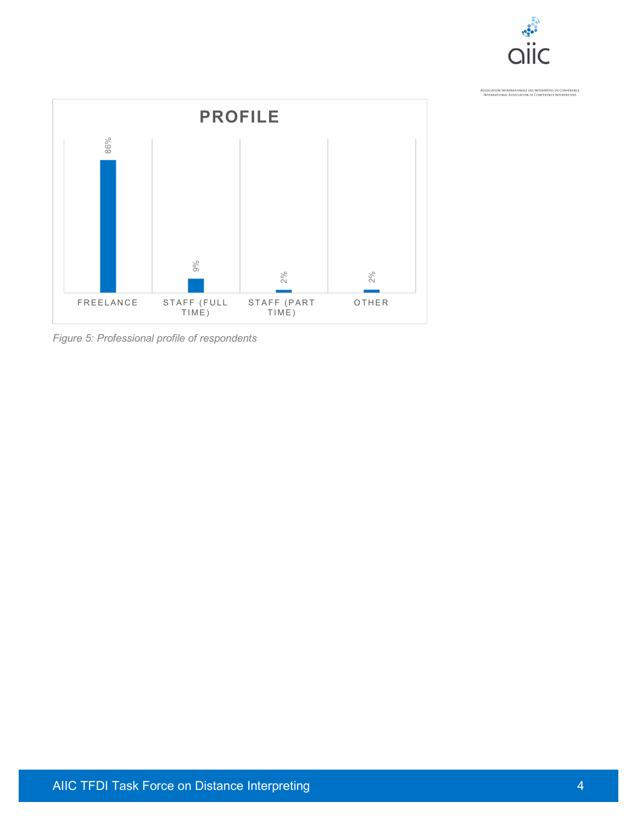

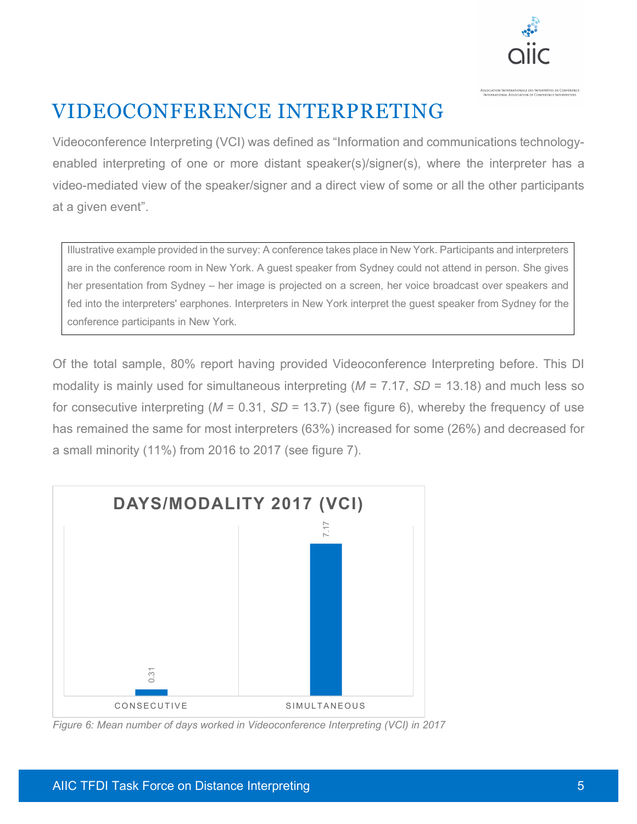

## VIDEOCONFERENCE INTERPRETING

Videoconference Interpreting (VCI) was defined as "Information and communications technologyenabled interpreting of one or more distant speaker(s)/signer(s), where the interpreter has a video-mediated view of the speaker/signer and a direct view of some or all the other participants at a given event".

Illustrative example provided in the survey: A conference takes place in New York. Participants and interpreters are in the conference room in New York. A guest speaker from Sydney could not attend in person. She gives her presentation from Sydney – her image is projected on a screen, her voice broadcast over speakers and fed into the interpreters' earphones. Interpreters in New York interpret the guest speaker from Sydney for the conference participants in New York.

Of the total sample, 80% report having provided Videoconference Interpreting before. This DI modality is mainly used for simultaneous interpreting (*M* = 7.17, *SD* = 13.18) and much less so for consecutive interpreting (*M* = 0.31, *SD* = 13.7) (see figure 6), whereby the frequency of use has remained the same for most interpreters (63%) increased for some (26%) and decreased for a small minority (11%) from 2016 to 2017 (see figure 7).

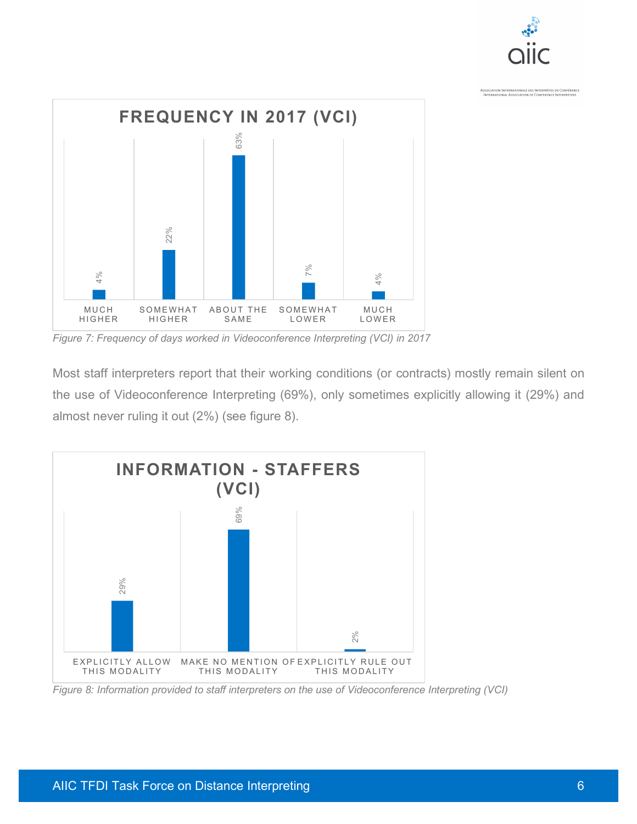



*Figure 7: Frequency of days worked in Videoconference Interpreting (VCI) in 2017*

Most staff interpreters report that their working conditions (or contracts) mostly remain silent on the use of Videoconference Interpreting (69%), only sometimes explicitly allowing it (29%) and almost never ruling it out (2%) (see figure 8).

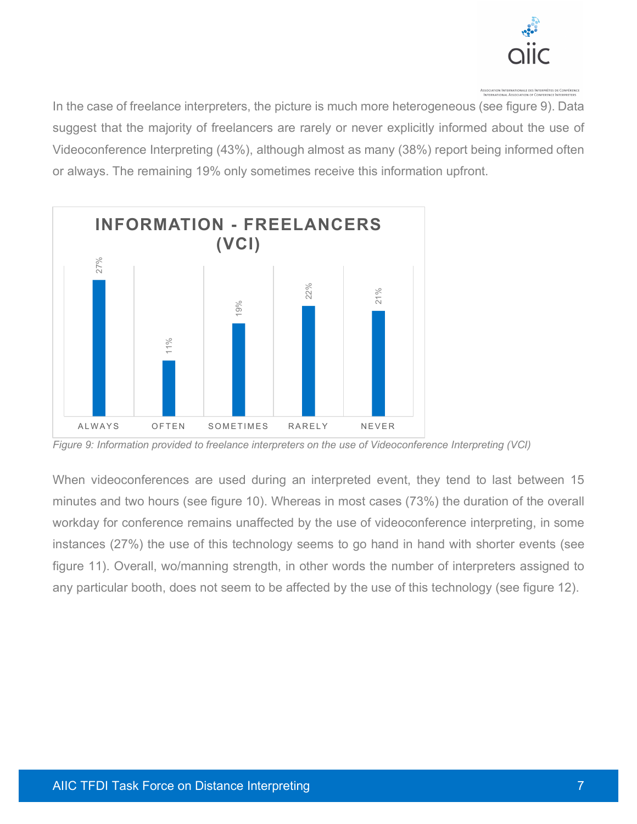

In the case of freelance interpreters, the picture is much more heterogeneous (see figure 9). Data suggest that the majority of freelancers are rarely or never explicitly informed about the use of Videoconference Interpreting (43%), although almost as many (38%) report being informed often or always. The remaining 19% only sometimes receive this information upfront.



*Figure 9: Information provided to freelance interpreters on the use of Videoconference Interpreting (VCI)*

When videoconferences are used during an interpreted event, they tend to last between 15 minutes and two hours (see figure 10). Whereas in most cases (73%) the duration of the overall workday for conference remains unaffected by the use of videoconference interpreting, in some instances (27%) the use of this technology seems to go hand in hand with shorter events (see figure 11). Overall, wo/manning strength, in other words the number of interpreters assigned to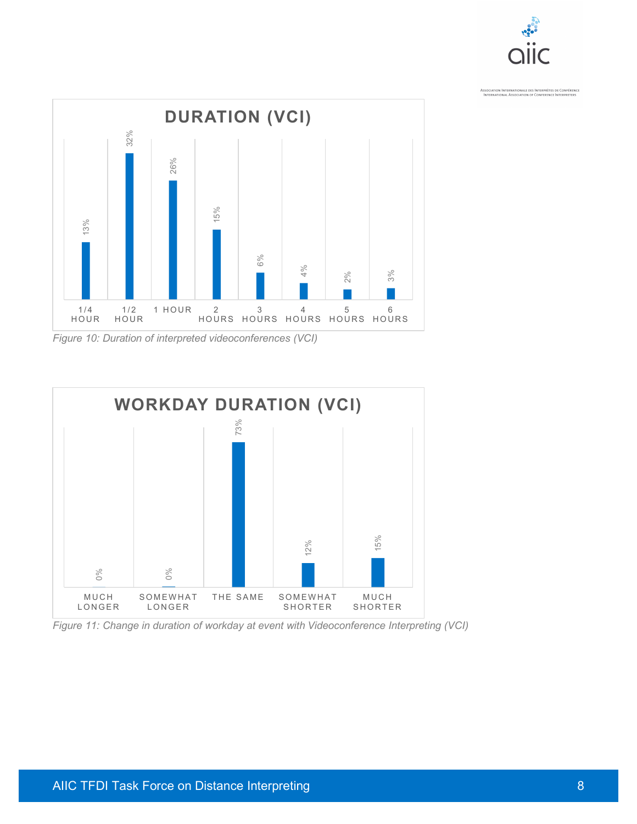



*Figure 10: Duration of interpreted videoconferences (VCI)*

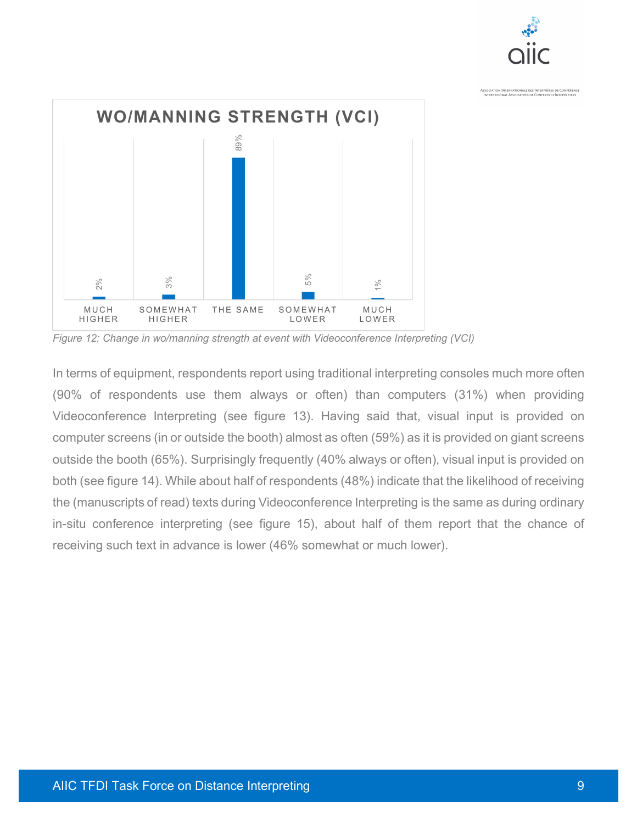



*Figure 12: Change in wo/manning strength at event with Videoconference Interpreting (VCI)*

In terms of equipment, respondents report using traditional interpreting consoles much more often (90% of respondents use them always or often) than computers (31%) when providing Videoconference Interpreting (see figure 13). Having said that, visual input is provided on computer screens (in or outside the booth) almost as often (59%) as it is provided on giant screens outside the booth (65%). Surprisingly frequently (40% always or often), visual input is provided on both (see figure 14). While about half of respondents (48%) indicate that the likelihood of receiving the (manuscripts of read) texts during Videoconference Interpreting is the same as during ordinary in-situ conference interpreting (see figure 15), about half of them report that the chance of **Example 12:** Change in wo/manning strength at event in a somewhat  $\frac{3}{10}$ <br> **Rigure 12:** Change in wo/manning strength at event with Videoconference Interpreting (SO% of respondents use them always or often) than compu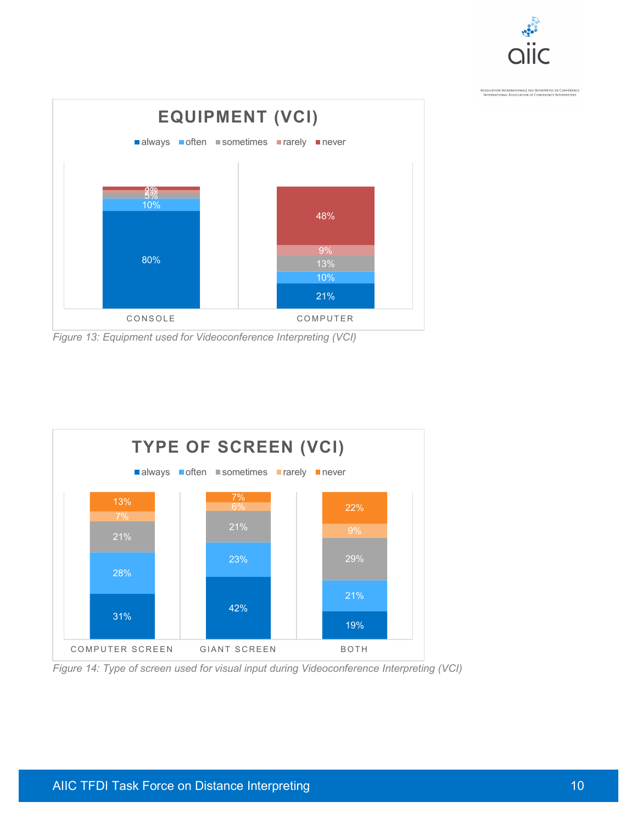



*Figure 13: Equipment used for Videoconference Interpreting (VCI)*



*Figure 14: Type of screen used for visual input during Videoconference Interpreting (VCI)*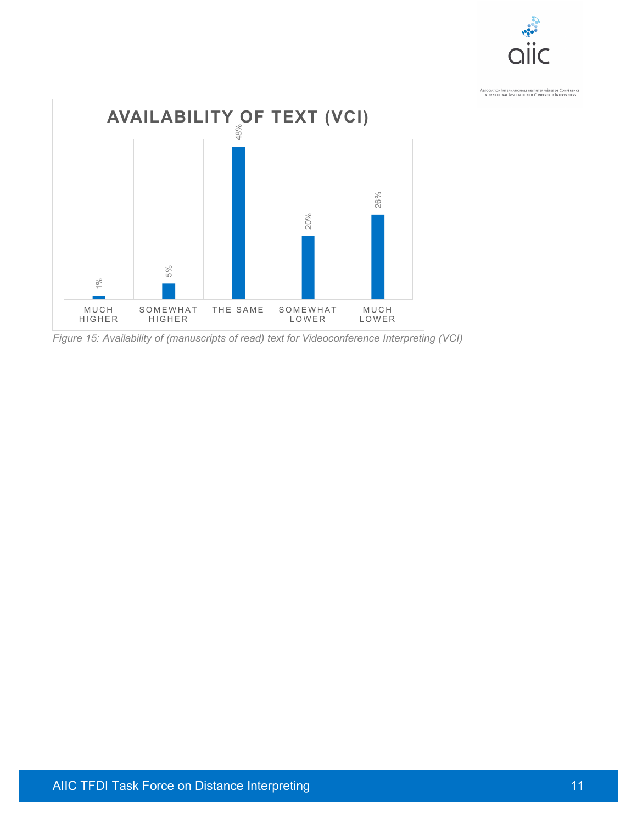

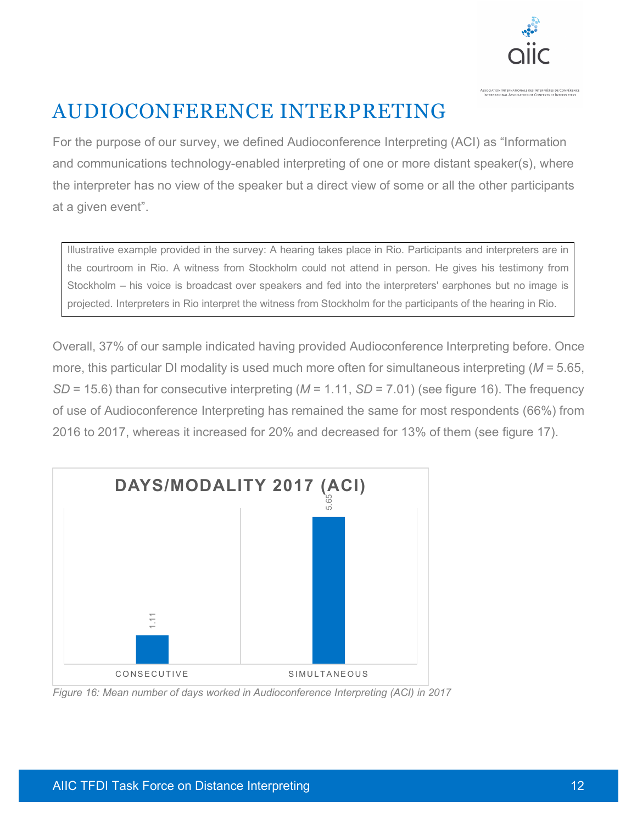

# AUDIOCONFERENCE INTERPRETING

For the purpose of our survey, we defined Audioconference Interpreting (ACI) as "Information and communications technology-enabled interpreting of one or more distant speaker(s), where the interpreter has no view of the speaker but a direct view of some or all the other participants at a given event".

Illustrative example provided in the survey: A hearing takes place in Rio. Participants and interpreters are in the courtroom in Rio. A witness from Stockholm could not attend in person. He gives his testimony from Stockholm – his voice is broadcast over speakers and fed into the interpreters' earphones but no image is projected. Interpreters in Rio interpret the witness from Stockholm for the participants of the hearing in Rio.

Overall, 37% of our sample indicated having provided Audioconference Interpreting before. Once more, this particular DI modality is used much more often for simultaneous interpreting (*M* = 5.65, *SD* = 15.6) than for consecutive interpreting (*M* = 1.11, *SD* = 7.01) (see figure 16). The frequency of use of Audioconference Interpreting has remained the same for most respondents (66%) from 2016 to 2017, whereas it increased for 20% and decreased for 13% of them (see figure 17).

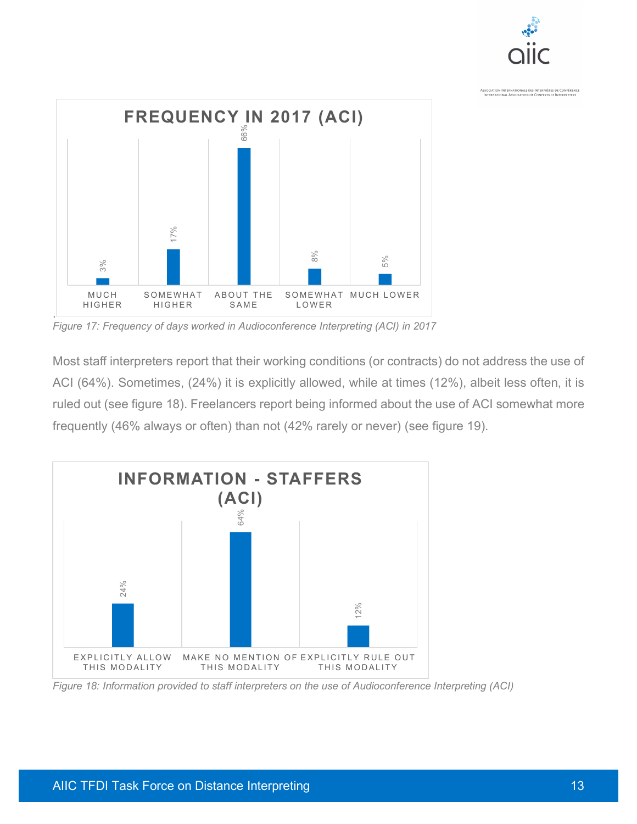



*Figure 17: Frequency of days worked in Audioconference Interpreting (ACI) in 2017*

Most staff interpreters report that their working conditions (or contracts) do not address the use of ACI (64%). Sometimes, (24%) it is explicitly allowed, while at times (12%), albeit less often, it is ruled out (see figure 18). Freelancers report being informed about the use of ACI somewhat more frequently (46% always or often) than not (42% rarely or never) (see figure 19).

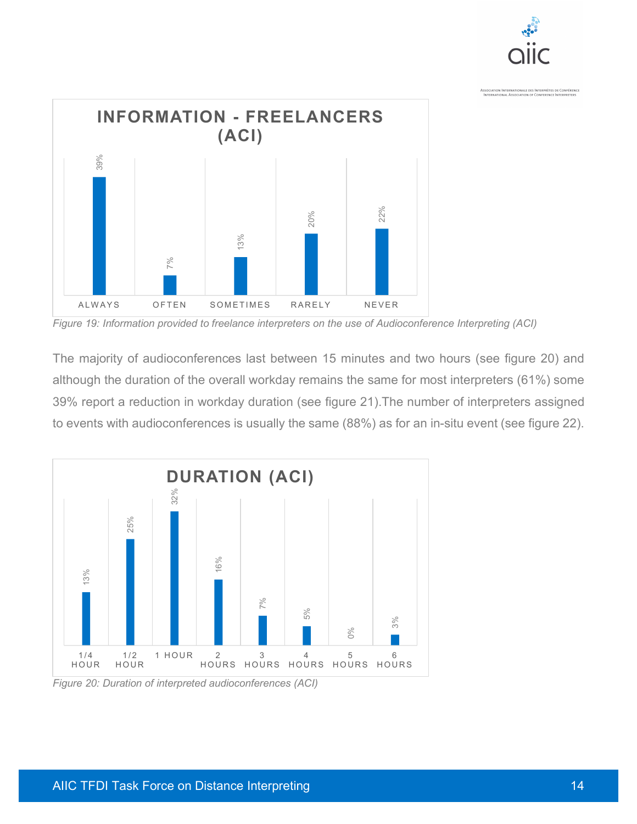

*Figure 19: Information provided to freelance interpreters on the use of Audioconference Interpreting (ACI)*

The majority of audioconferences last between 15 minutes and two hours (see figure 20) and although the duration of the overall workday remains the same for most interpreters (61%) some 39% report a reduction in workday duration (see figure 21).The number of interpreters assigned to events with audioconferences is usually the same (88%) as for an in-situ event (see figure 22).

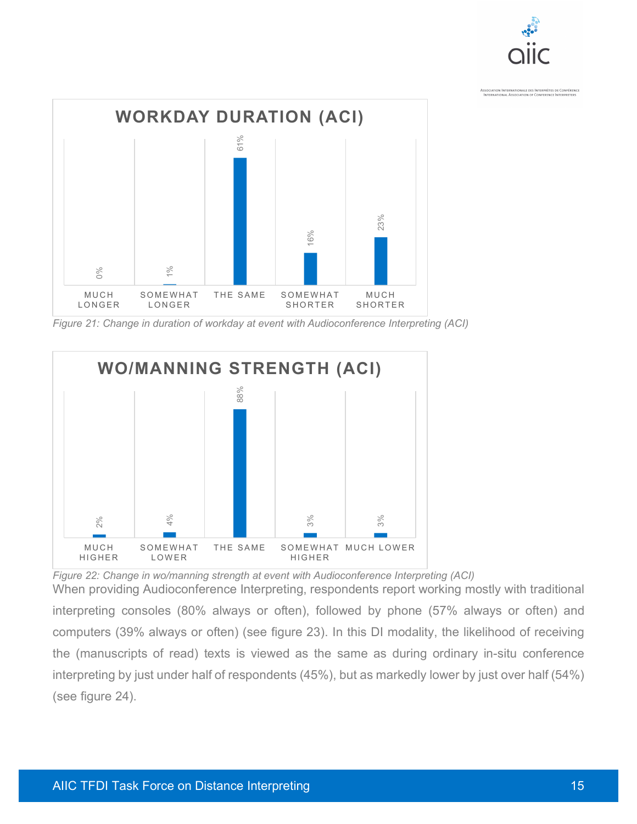



*Figure 21: Change in duration of workday at event with Audioconference Interpreting (ACI)*



*Figure 22: Change in wo/manning strength at event with Audioconference Interpreting (ACI)* When providing Audioconference Interpreting, respondents report working mostly with traditional interpreting consoles (80% always or often), followed by phone (57% always or often) and computers (39% always or often) (see figure 23). In this DI modality, the likelihood of receiving the (manuscripts of read) texts is viewed as the same as during ordinary in-situ conference interpreting by just under half of respondents (45%), but as markedly lower by just over half (54%) (see figure 24).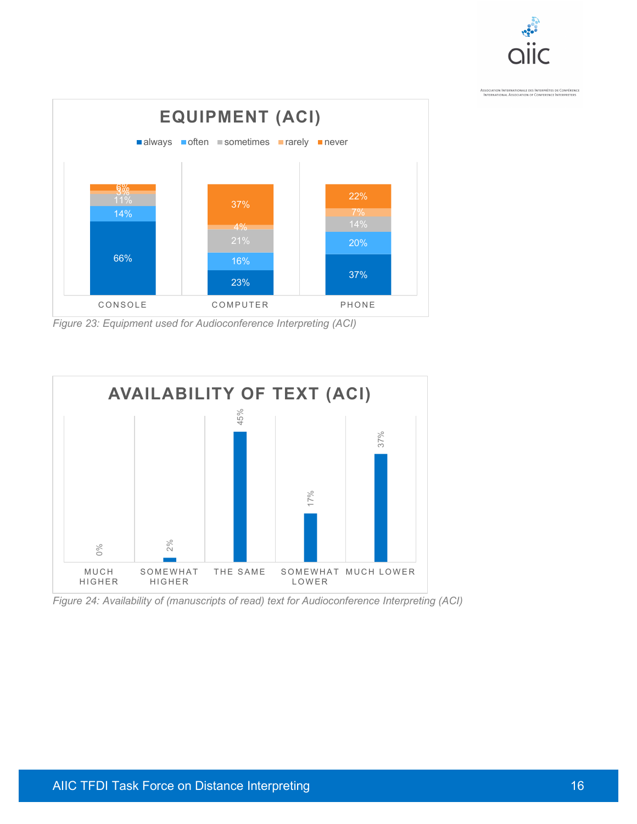



*Figure 23: Equipment used for Audioconference Interpreting (ACI)*



*Figure 24: Availability of (manuscripts of read) text for Audioconference Interpreting (ACI)*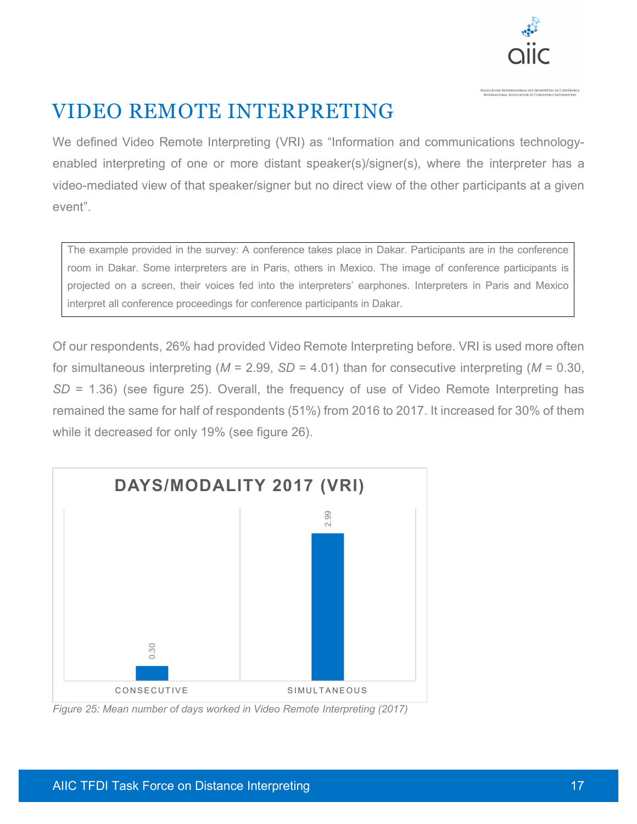

## VIDEO REMOTE INTERPRETING

We defined Video Remote Interpreting (VRI) as "Information and communications technologyenabled interpreting of one or more distant speaker(s)/signer(s), where the interpreter has a video-mediated view of that speaker/signer but no direct view of the other participants at a given event".

The example provided in the survey: A conference takes place in Dakar. Participants are in the conference room in Dakar. Some interpreters are in Paris, others in Mexico. The image of conference participants is projected on a screen, their voices fed into the interpreters' earphones. Interpreters in Paris and Mexico interpret all conference proceedings for conference participants in Dakar.

Of our respondents, 26% had provided Video Remote Interpreting before. VRI is used more often for simultaneous interpreting (*M* = 2.99, *SD* = 4.01) than for consecutive interpreting (*M* = 0.30, *SD* = 1.36) (see figure 25). Overall, the frequency of use of Video Remote Interpreting has remained the same for half of respondents (51%) from 2016 to 2017. It increased for 30% of them while it decreased for only 19% (see figure 26).

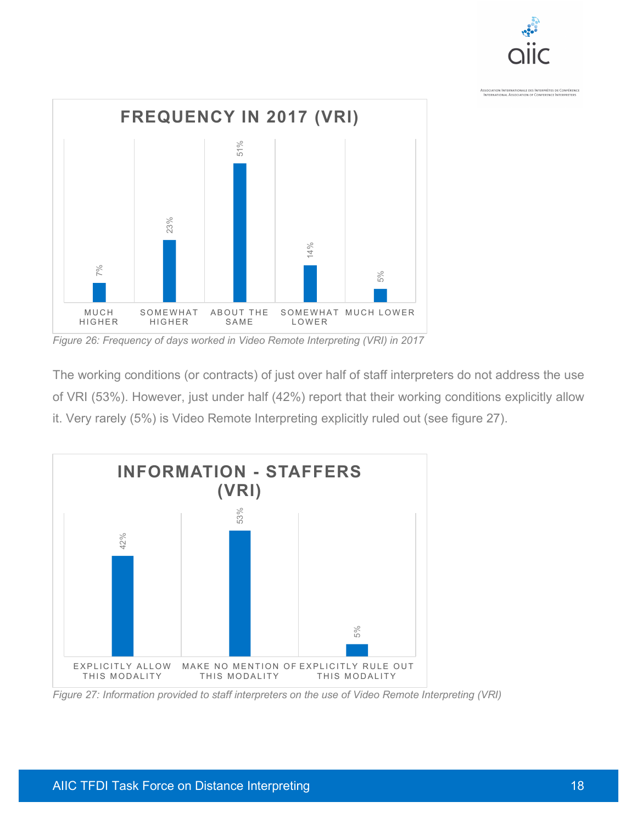



*Figure 26: Frequency of days worked in Video Remote Interpreting (VRI) in 2017*

The working conditions (or contracts) of just over half of staff interpreters do not address the use of VRI (53%). However, just under half (42%) report that their working conditions explicitly allow it. Very rarely (5%) is Video Remote Interpreting explicitly ruled out (see figure 27).

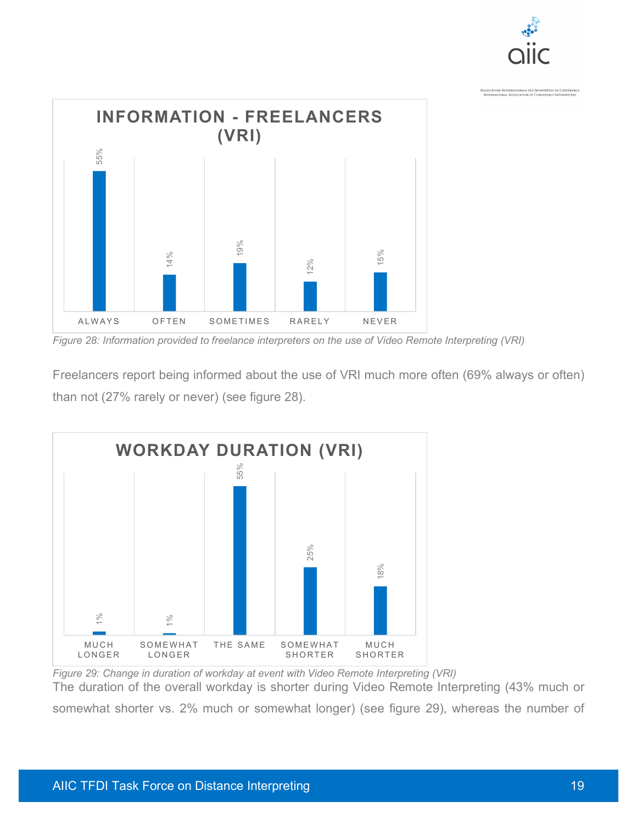



*Figure 28: Information provided to freelance interpreters on the use of Video Remote Interpreting (VRI)*

Freelancers report being informed about the use of VRI much more often (69% always or often) than not (27% rarely or never) (see figure 28).



*Figure 29: Change in duration of workday at event with Video Remote Interpreting (VRI)* The duration of the overall workday is shorter during Video Remote Interpreting (43% much or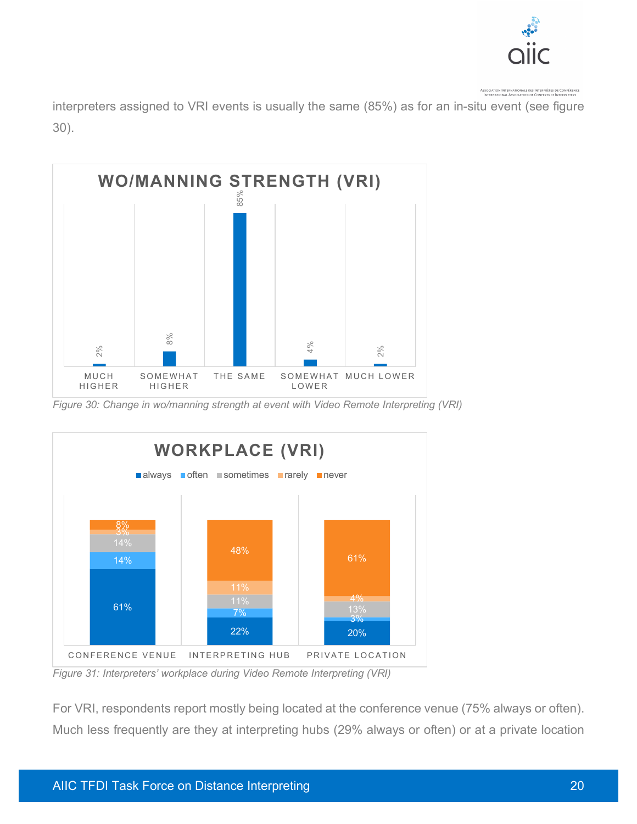

interpreters assigned to VRI events is usually the same (85%) as for an in-situ event (see figure 30).



*Figure 30: Change in wo/manning strength at event with Video Remote Interpreting (VRI)*



*Figure 31: Interpreters' workplace during Video Remote Interpreting (VRI)*

For VRI, respondents report mostly being located at the conference venue (75% always or often).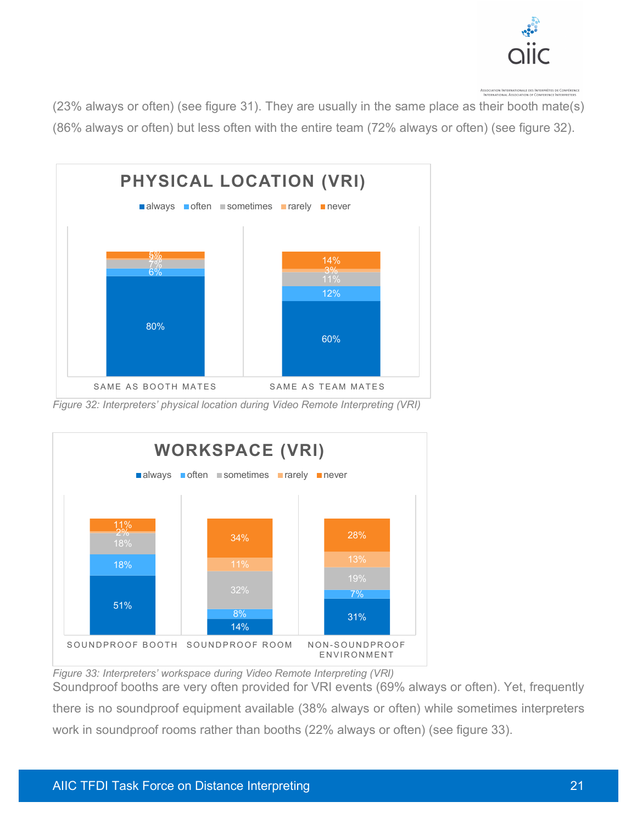

(23% always or often) (see figure 31). They are usually in the same place as their booth mate(s) (86% always or often) but less often with the entire team (72% always or often) (see figure 32).



*Figure 32: Interpreters' physical location during Video Remote Interpreting (VRI)*



*Figure 33: Interpreters' workspace during Video Remote Interpreting (VRI)*

Soundproof booths are very often provided for VRI events (69% always or often). Yet, frequently there is no soundproof equipment available (38% always or often) while sometimes interpreters work in soundproof rooms rather than booths (22% always or often) (see figure 33).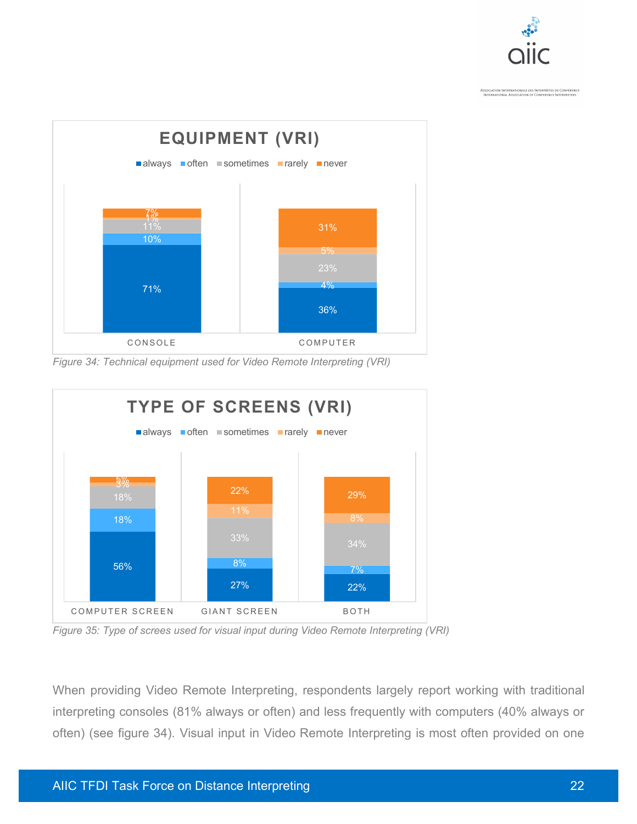



*Figure 34: Technical equipment used for Video Remote Interpreting (VRI)*



*Figure 35: Type of screes used for visual input during Video Remote Interpreting (VRI)*

When providing Video Remote Interpreting, respondents largely report working with traditional interpreting consoles (81% always or often) and less frequently with computers (40% always or often) (see figure 34). Visual input in Video Remote Interpreting is most often provided on one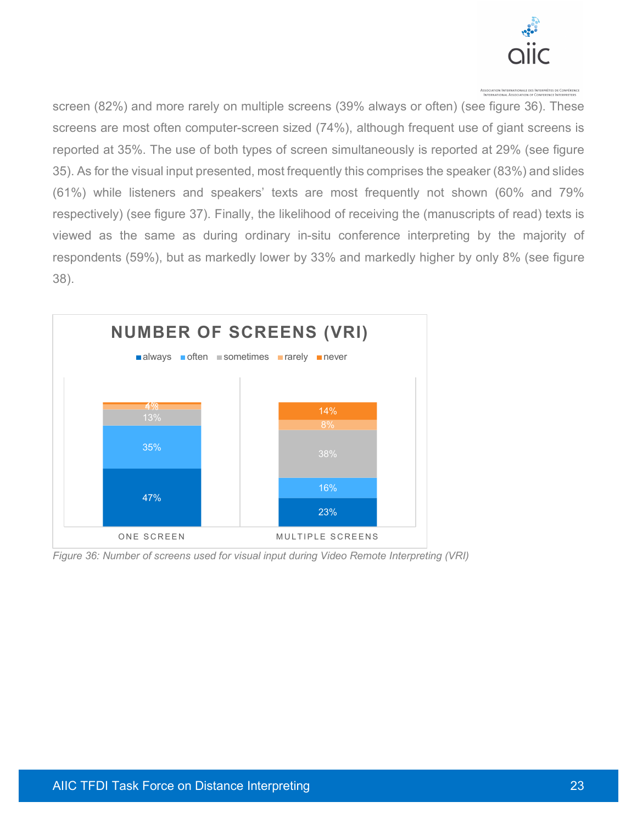

screen (82%) and more rarely on multiple screens (39% always or often) (see figure 36). These screens are most often computer-screen sized (74%), although frequent use of giant screens is reported at 35%. The use of both types of screen simultaneously is reported at 29% (see figure 35). As for the visual input presented, most frequently this comprises the speaker (83%) and slides (61%) while listeners and speakers' texts are most frequently not shown (60% and 79% respectively) (see figure 37). Finally, the likelihood of receiving the (manuscripts of read) texts is viewed as the same as during ordinary in-situ conference interpreting by the majority of respondents (59%), but as markedly lower by 33% and markedly higher by only 8% (see figure 38).



*Figure 36: Number of screens used for visual input during Video Remote Interpreting (VRI)*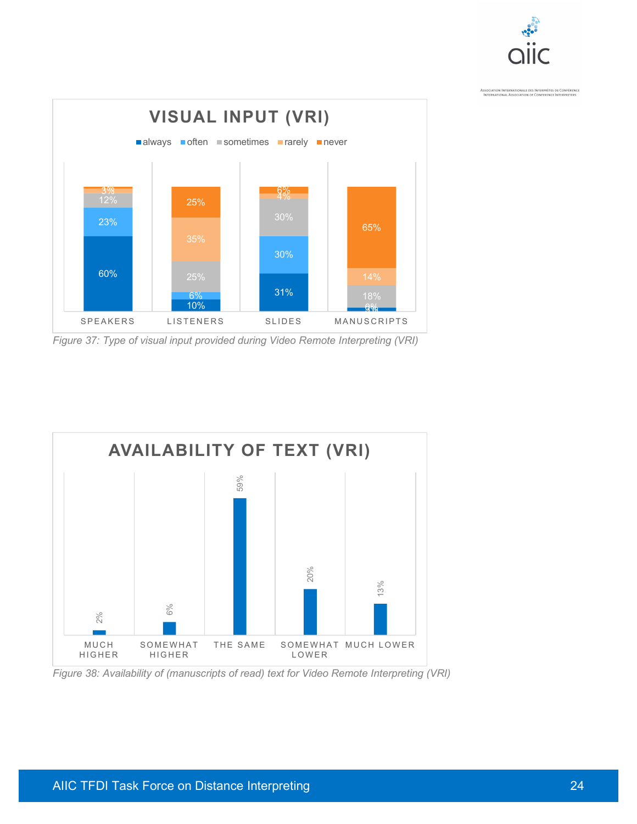



*Figure 37: Type of visual input provided during Video Remote Interpreting (VRI)*



*Figure 38: Availability of (manuscripts of read) text for Video Remote Interpreting (VRI)*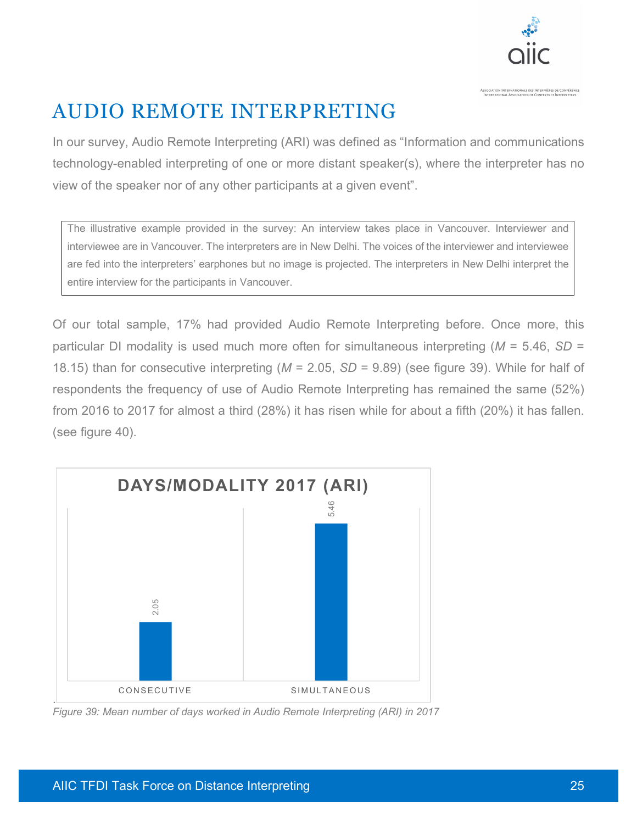

# AUDIO REMOTE INTERPRETING

In our survey, Audio Remote Interpreting (ARI) was defined as "Information and communications technology-enabled interpreting of one or more distant speaker(s), where the interpreter has no view of the speaker nor of any other participants at a given event".

The illustrative example provided in the survey: An interview takes place in Vancouver. Interviewer and interviewee are in Vancouver. The interpreters are in New Delhi. The voices of the interviewer and interviewee are fed into the interpreters' earphones but no image is projected. The interpreters in New Delhi interpret the entire interview for the participants in Vancouver.

Of our total sample, 17% had provided Audio Remote Interpreting before. Once more, this particular DI modality is used much more often for simultaneous interpreting (*M* = 5.46, *SD* = 18.15) than for consecutive interpreting (*M* = 2.05, *SD* = 9.89) (see figure 39). While for half of respondents the frequency of use of Audio Remote Interpreting has remained the same (52%) from 2016 to 2017 for almost a third (28%) it has risen while for about a fifth (20%) it has fallen. (see figure 40).

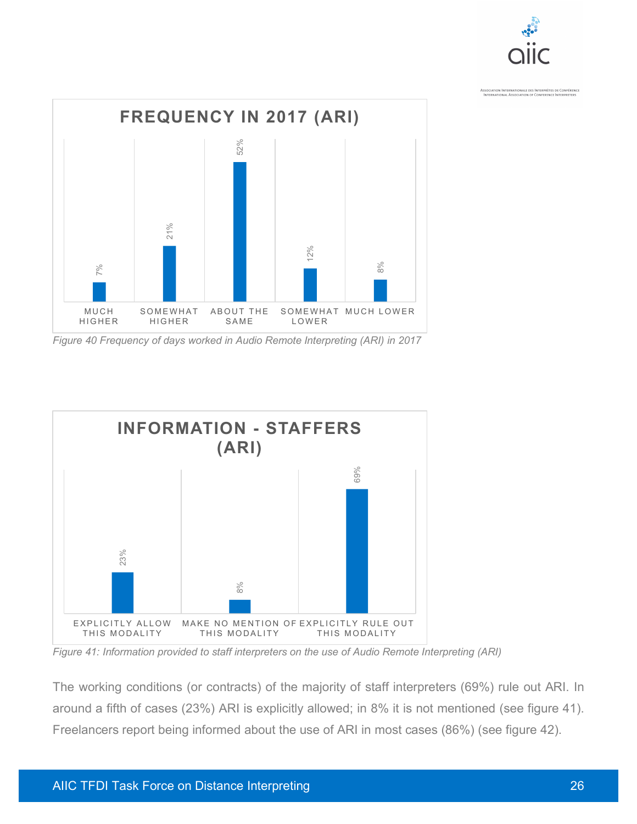

*Figure 40 Frequency of days worked in Audio Remote Interpreting (ARI) in 2017*



*Figure 41: Information provided to staff interpreters on the use of Audio Remote Interpreting (ARI)*

The working conditions (or contracts) of the majority of staff interpreters (69%) rule out ARI. In around a fifth of cases (23%) ARI is explicitly allowed; in 8% it is not mentioned (see figure 41).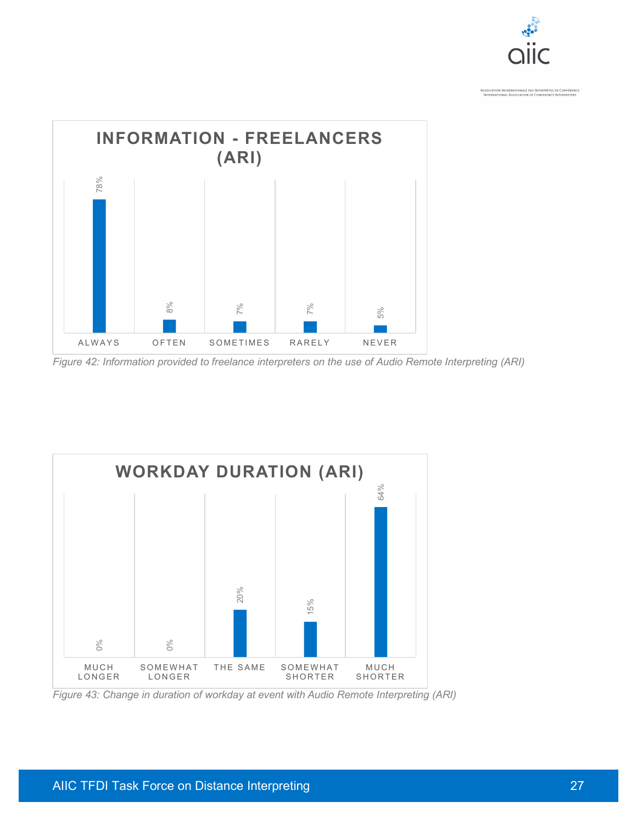

*Figure 42: Information provided to freelance interpreters on the use of Audio Remote Interpreting (ARI)*

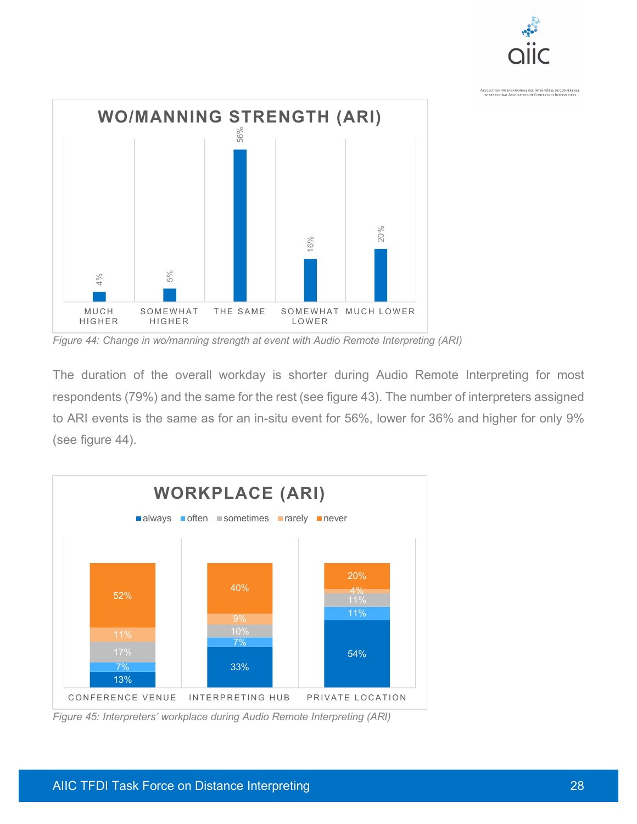



*Figure 44: Change in wo/manning strength at event with Audio Remote Interpreting (ARI)*

The duration of the overall workday is shorter during Audio Remote Interpreting for most respondents (79%) and the same for the rest (see figure 43). The number of interpreters assigned to ARI events is the same as for an in-situ event for 56%, lower for 36% and higher for only 9% (see figure 44).

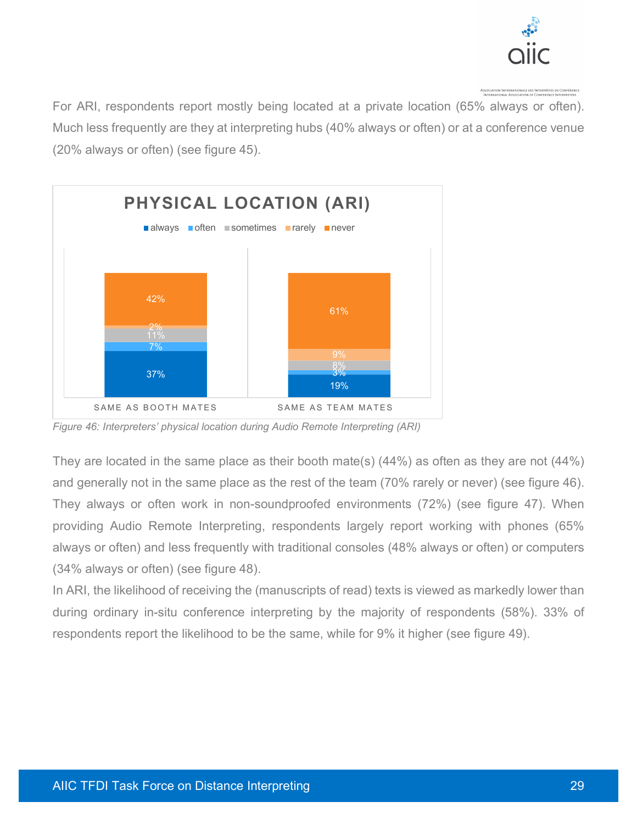

For ARI, respondents report mostly being located at a private location (65% always or often). Much less frequently are they at interpreting hubs (40% always or often) or at a conference venue (20% always or often) (see figure 45).



*Figure 46: Interpreters' physical location during Audio Remote Interpreting (ARI)*

They are located in the same place as their booth mate(s) (44%) as often as they are not (44%) and generally not in the same place as the rest of the team (70% rarely or never) (see figure 46). They always or often work in non-soundproofed environments (72%) (see figure 47). When providing Audio Remote Interpreting, respondents largely report working with phones (65% always or often) and less frequently with traditional consoles (48% always or often) or computers (34% always or often) (see figure 48).

In ARI, the likelihood of receiving the (manuscripts of read) texts is viewed as markedly lower than during ordinary in-situ conference interpreting by the majority of respondents (58%). 33% of respondents report the likelihood to be the same, while for 9% it higher (see figure 49).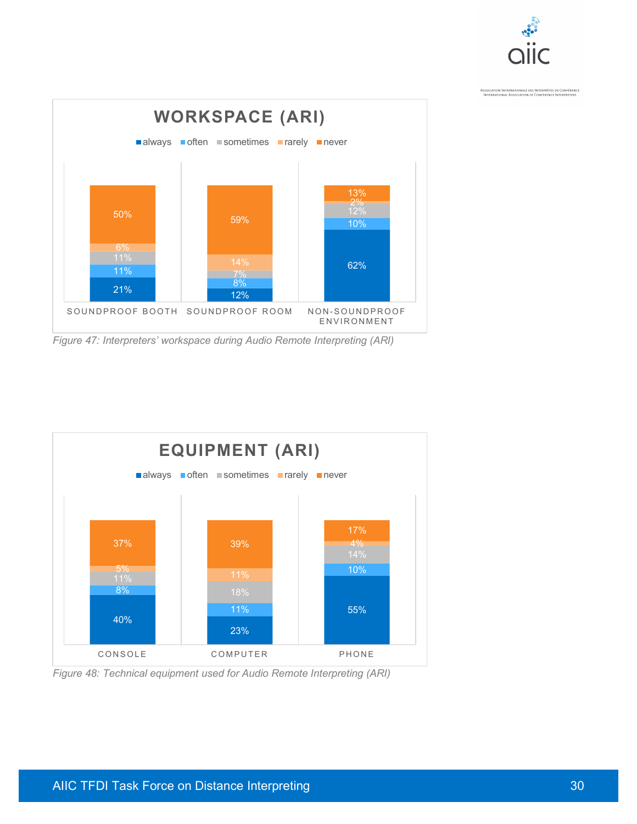



*Figure 47: Interpreters' workspace during Audio Remote Interpreting (ARI)*



*Figure 48: Technical equipment used for Audio Remote Interpreting (ARI)*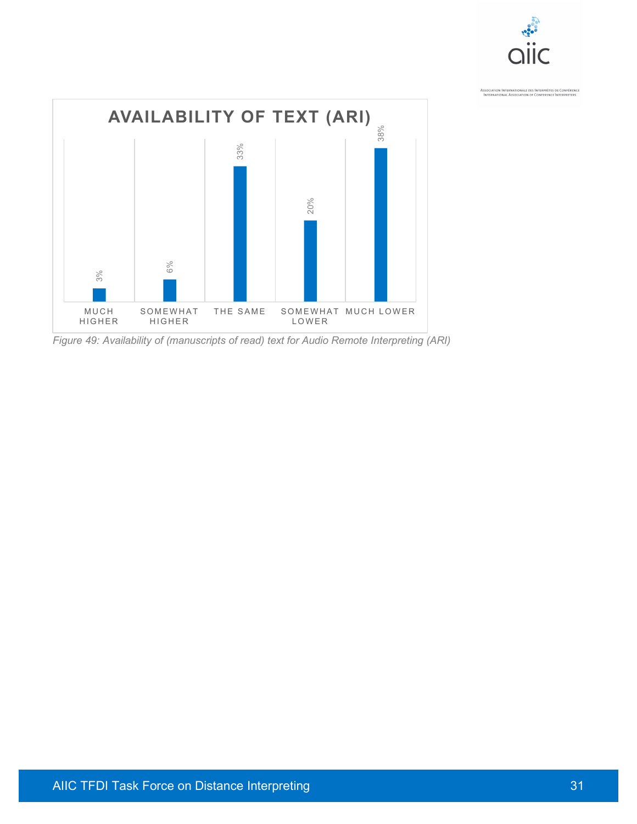

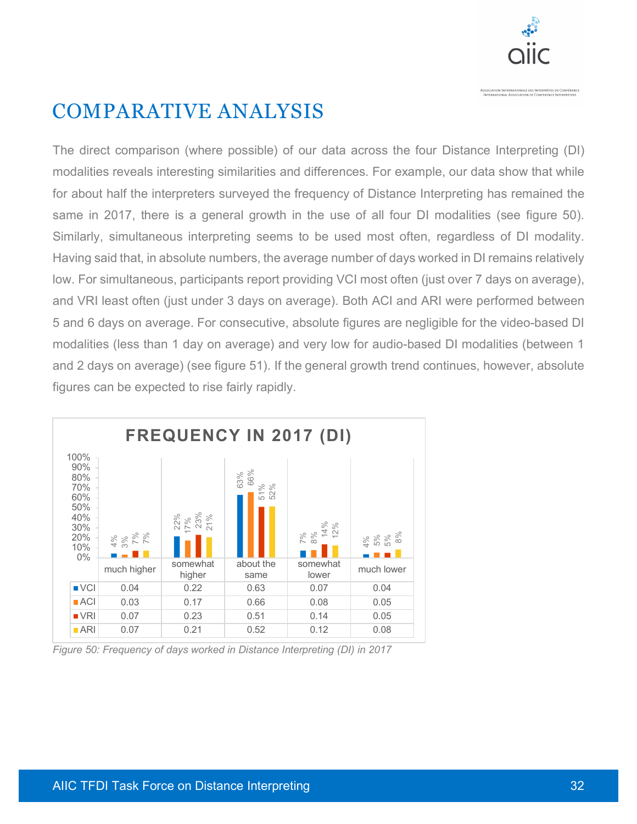

#### COMPARATIVE ANALYSIS

The direct comparison (where possible) of our data across the four Distance Interpreting (DI) modalities reveals interesting similarities and differences. For example, our data show that while for about half the interpreters surveyed the frequency of Distance Interpreting has remained the same in 2017, there is a general growth in the use of all four DI modalities (see figure 50). Similarly, simultaneous interpreting seems to be used most often, regardless of DI modality. Having said that, in absolute numbers, the average number of days worked in DI remains relatively low. For simultaneous, participants report providing VCI most often (just over 7 days on average), and VRI least often (just under 3 days on average). Both ACI and ARI were performed between 5 and 6 days on average. For consecutive, absolute figures are negligible for the video-based DI modalities (less than 1 day on average) and very low for audio-based DI modalities (between 1 and 2 days on average) (see figure 51). If the general growth trend continues, however, absolute figures can be expected to rise fairly rapidly.



*Figure 50: Frequency of days worked in Distance Interpreting (DI) in 2017*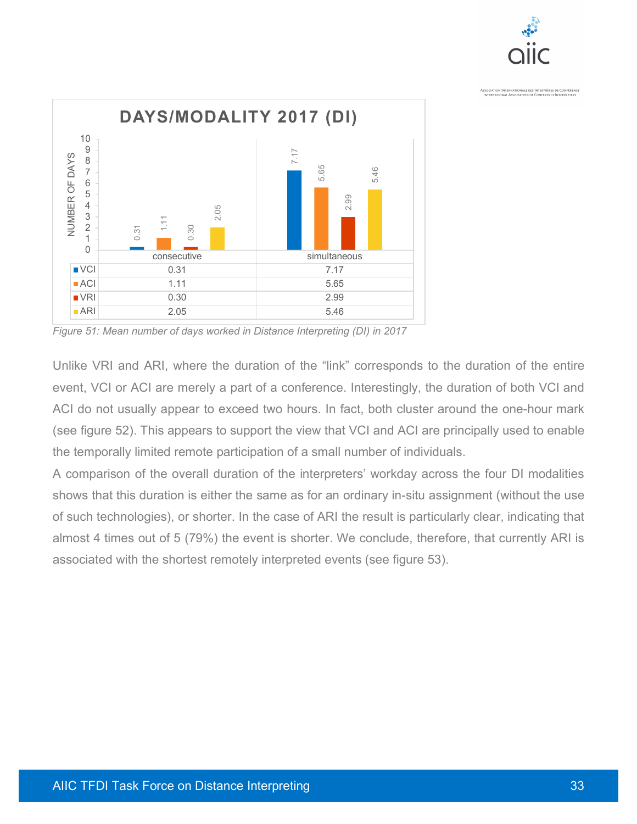



*Figure 51: Mean number of days worked in Distance Interpreting (DI) in 2017*

Unlike VRI and ARI, where the duration of the "link" corresponds to the duration of the entire event, VCI or ACI are merely a part of a conference. Interestingly, the duration of both VCI and ACI do not usually appear to exceed two hours. In fact, both cluster around the one-hour mark (see figure 52). This appears to support the view that VCI and ACI are principally used to enable the temporally limited remote participation of a small number of individuals.

A comparison of the overall duration of the interpreters' workday across the four DI modalities shows that this duration is either the same as for an ordinary in-situ assignment (without the use of such technologies), or shorter. In the case of ARI the result is particularly clear, indicating that almost 4 times out of 5 (79%) the event is shorter. We conclude, therefore, that currently ARI is associated with the shortest remotely interpreted events (see figure 53).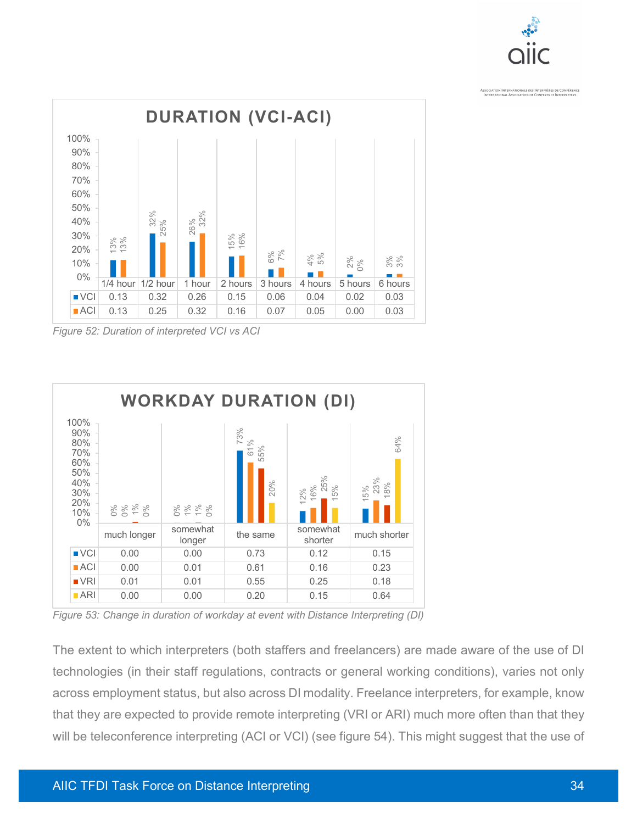



*Figure 52: Duration of interpreted VCI vs ACI*



*Figure 53: Change in duration of workday at event with Distance Interpreting (DI)*

The extent to which interpreters (both staffers and freelancers) are made aware of the use of DI technologies (in their staff regulations, contracts or general working conditions), varies not only across employment status, but also across DI modality. Freelance interpreters, for example, know that they are expected to provide remote interpreting (VRI or ARI) much more often than that they will be teleconference interpreting (ACI or VCI) (see figure 54). This might suggest that the use of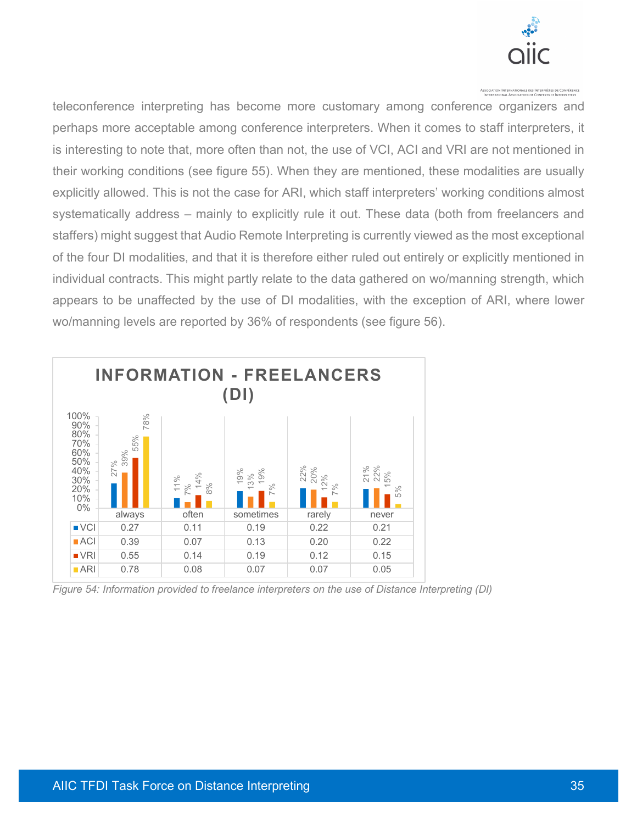

teleconference interpreting has become more customary among conference organizers and perhaps more acceptable among conference interpreters. When it comes to staff interpreters, it is interesting to note that, more often than not, the use of VCI, ACI and VRI are not mentioned in their working conditions (see figure 55). When they are mentioned, these modalities are usually explicitly allowed. This is not the case for ARI, which staff interpreters' working conditions almost systematically address – mainly to explicitly rule it out. These data (both from freelancers and staffers) might suggest that Audio Remote Interpreting is currently viewed as the most exceptional of the four DI modalities, and that it is therefore either ruled out entirely or explicitly mentioned in individual contracts. This might partly relate to the data gathered on wo/manning strength, which appears to be unaffected by the use of DI modalities, with the exception of ARI, where lower wo/manning levels are reported by 36% of respondents (see figure 56).



*Figure 54: Information provided to freelance interpreters on the use of Distance Interpreting (DI)*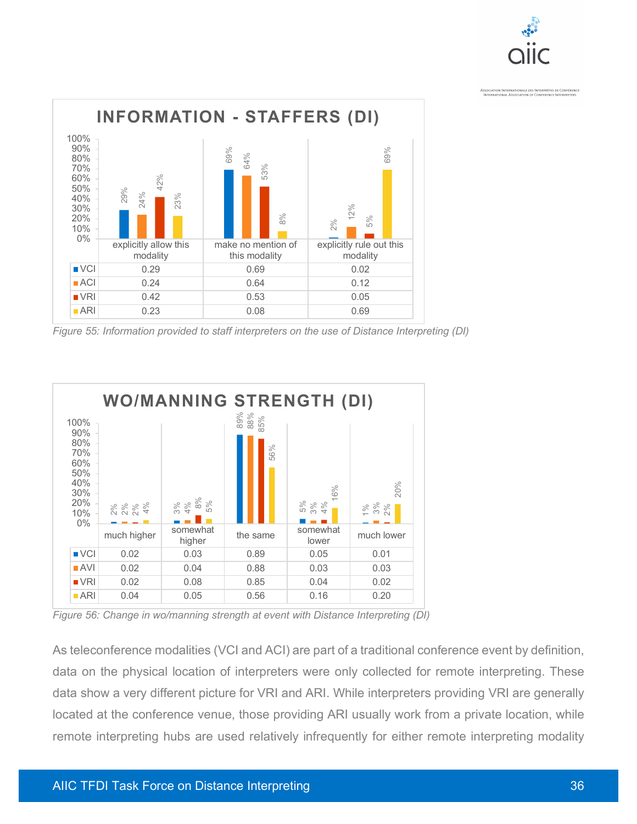



*Figure 55: Information provided to staff interpreters on the use of Distance Interpreting (DI)*



*Figure 56: Change in wo/manning strength at event with Distance Interpreting (DI)*

As teleconference modalities (VCI and ACI) are part of a traditional conference event by definition, data on the physical location of interpreters were only collected for remote interpreting. These data show a very different picture for VRI and ARI. While interpreters providing VRI are generally located at the conference venue, those providing ARI usually work from a private location, while remote interpreting hubs are used relatively infrequently for either remote interpreting modality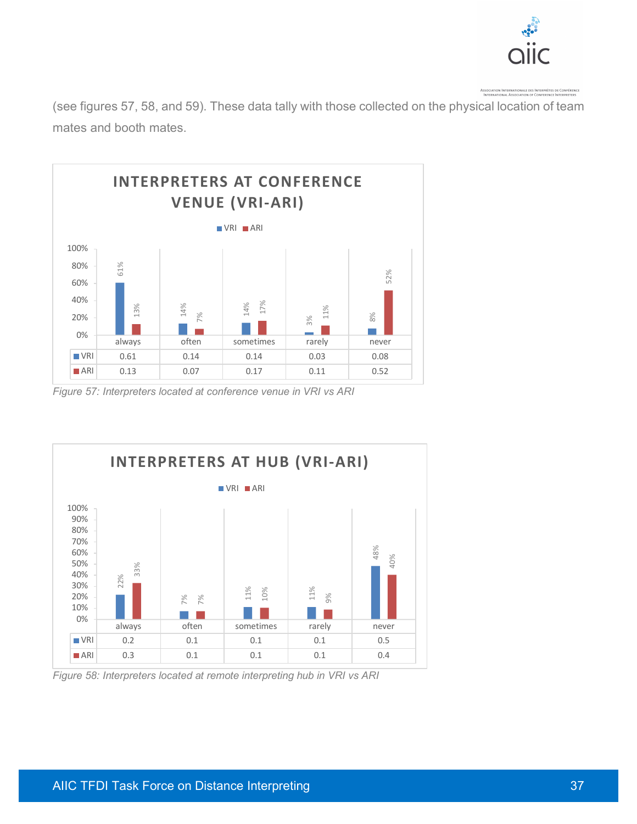

(see figures 57, 58, and 59). These data tally with those collected on the physical location of team mates and booth mates.



*Figure 57: Interpreters located at conference venue in VRI vs ARI*



*Figure 58: Interpreters located at remote interpreting hub in VRI vs ARI*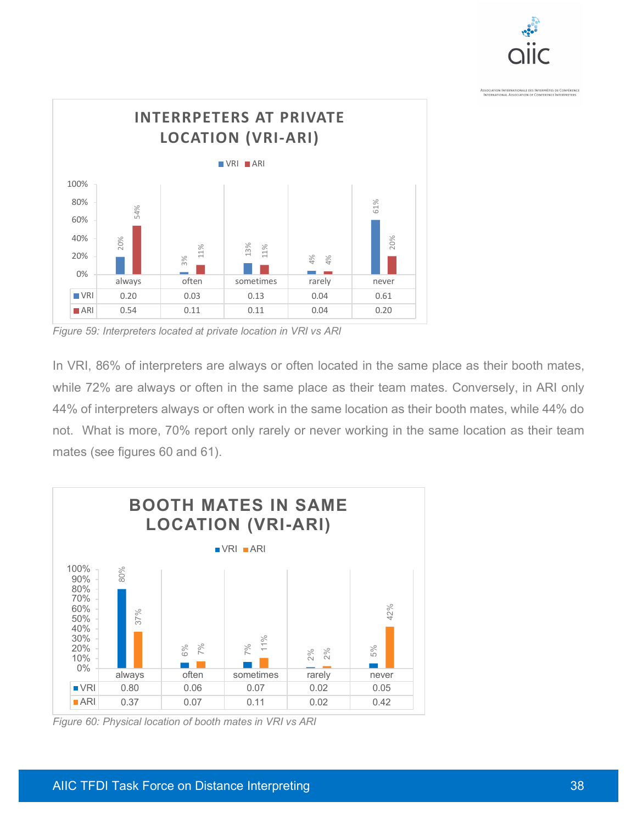



*Figure 59: Interpreters located at private location in VRI vs ARI*

In VRI, 86% of interpreters are always or often located in the same place as their booth mates, while 72% are always or often in the same place as their team mates. Conversely, in ARI only 44% of interpreters always or often work in the same location as their booth mates, while 44% do not. What is more, 70% report only rarely or never working in the same location as their team mates (see figures 60 and 61).



*Figure 60: Physical location of booth mates in VRI vs ARI*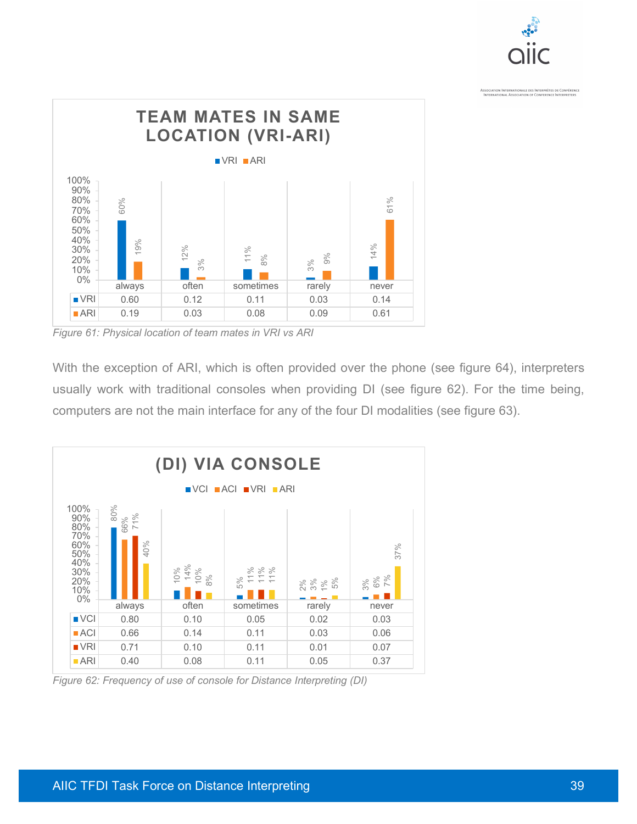



*Figure 61: Physical location of team mates in VRI vs ARI*

With the exception of ARI, which is often provided over the phone (see figure 64), interpreters usually work with traditional consoles when providing DI (see figure 62). For the time being, computers are not the main interface for any of the four DI modalities (see figure 63).



*Figure 62: Frequency of use of console for Distance Interpreting (DI)*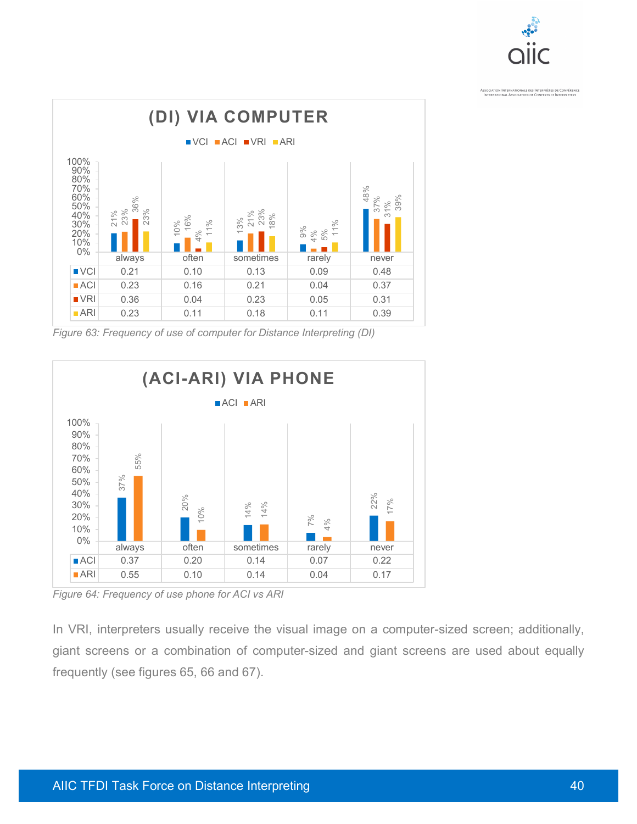



*Figure 63: Frequency of use of computer for Distance Interpreting (DI)*



*Figure 64: Frequency of use phone for ACI vs ARI*

In VRI, interpreters usually receive the visual image on a computer-sized screen; additionally, giant screens or a combination of computer-sized and giant screens are used about equally frequently (see figures 65, 66 and 67).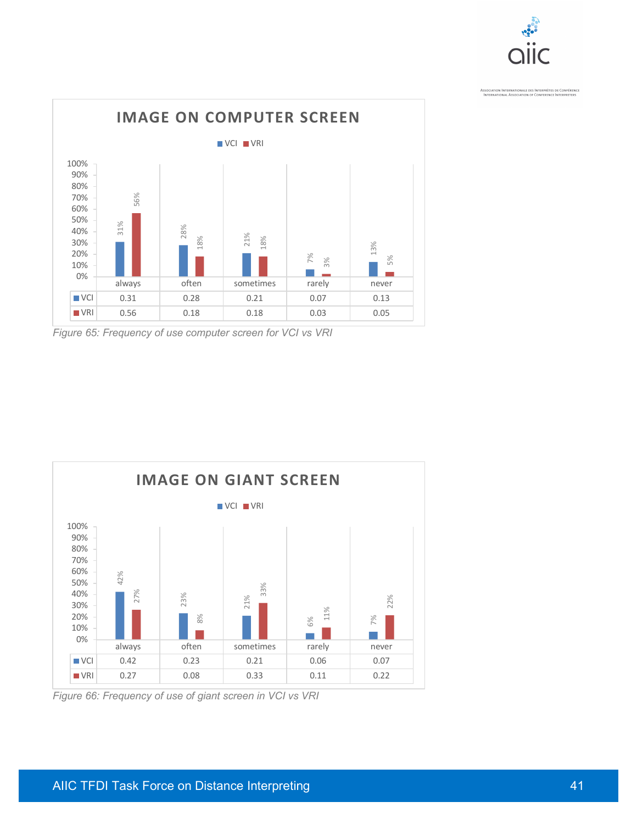



*Figure 65: Frequency of use computer screen for VCI vs VRI*



*Figure 66: Frequency of use of giant screen in VCI vs VRI*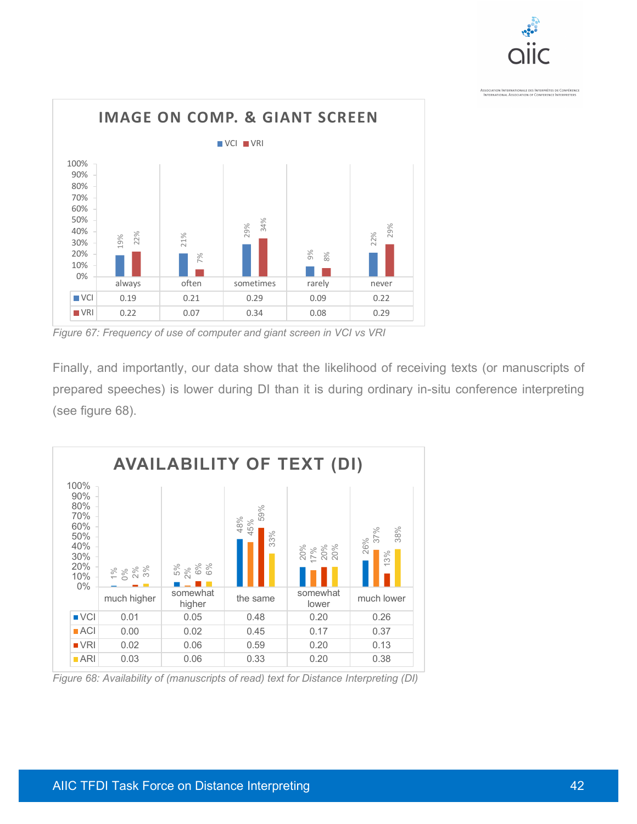



*Figure 67: Frequency of use of computer and giant screen in VCI vs VRI*

Finally, and importantly, our data show that the likelihood of receiving texts (or manuscripts of prepared speeches) is lower during DI than it is during ordinary in-situ conference interpreting (see figure 68).



*Figure 68: Availability of (manuscripts of read) text for Distance Interpreting (DI)*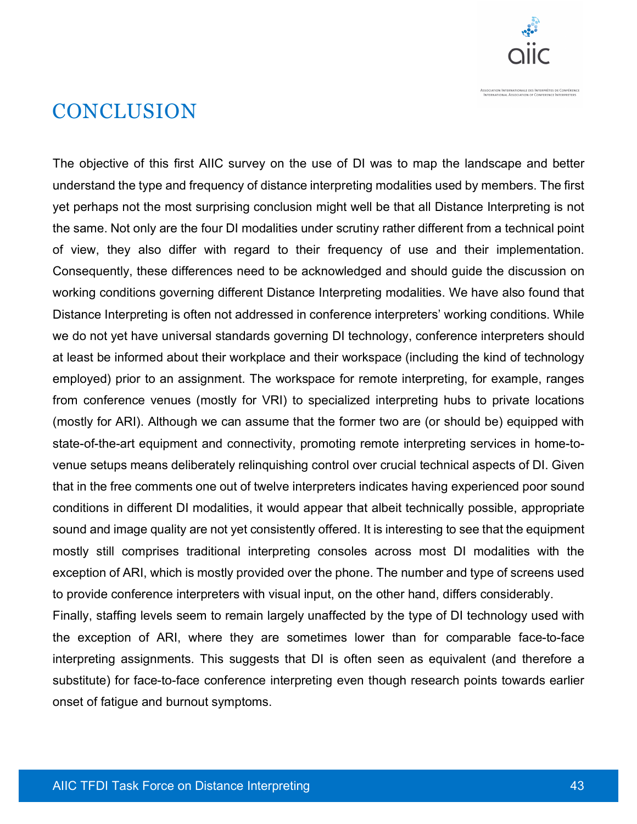

#### **CONCLUSION**

The objective of this first AIIC survey on the use of DI was to map the landscape and better understand the type and frequency of distance interpreting modalities used by members. The first yet perhaps not the most surprising conclusion might well be that all Distance Interpreting is not the same. Not only are the four DI modalities under scrutiny rather different from a technical point of view, they also differ with regard to their frequency of use and their implementation. Consequently, these differences need to be acknowledged and should guide the discussion on working conditions governing different Distance Interpreting modalities. We have also found that Distance Interpreting is often not addressed in conference interpreters' working conditions. While we do not yet have universal standards governing DI technology, conference interpreters should at least be informed about their workplace and their workspace (including the kind of technology employed) prior to an assignment. The workspace for remote interpreting, for example, ranges from conference venues (mostly for VRI) to specialized interpreting hubs to private locations (mostly for ARI). Although we can assume that the former two are (or should be) equipped with state-of-the-art equipment and connectivity, promoting remote interpreting services in home-tovenue setups means deliberately relinquishing control over crucial technical aspects of DI. Given that in the free comments one out of twelve interpreters indicates having experienced poor sound conditions in different DI modalities, it would appear that albeit technically possible, appropriate sound and image quality are not yet consistently offered. It is interesting to see that the equipment mostly still comprises traditional interpreting consoles across most DI modalities with the exception of ARI, which is mostly provided over the phone. The number and type of screens used to provide conference interpreters with visual input, on the other hand, differs considerably.

Finally, staffing levels seem to remain largely unaffected by the type of DI technology used with the exception of ARI, where they are sometimes lower than for comparable face-to-face interpreting assignments. This suggests that DI is often seen as equivalent (and therefore a substitute) for face-to-face conference interpreting even though research points towards earlier onset of fatigue and burnout symptoms.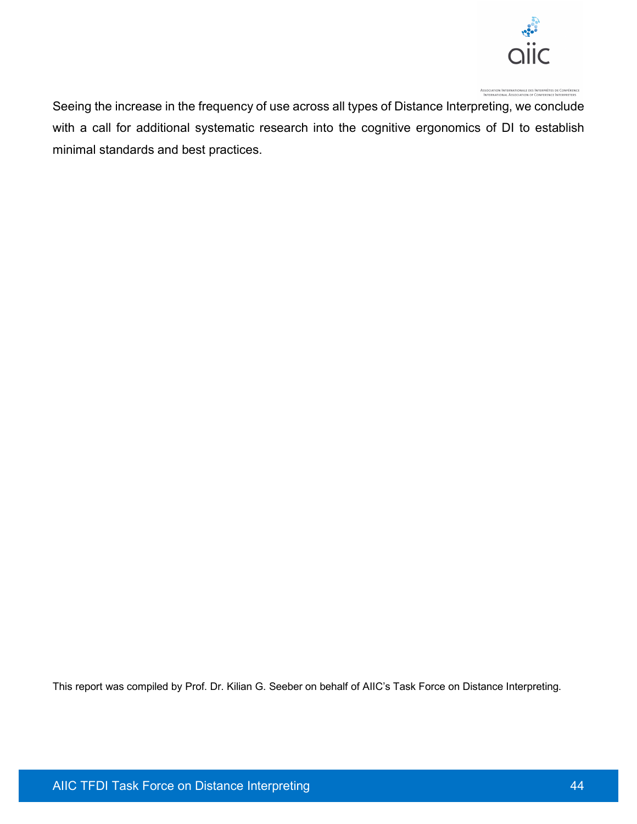

Seeing the increase in the frequency of use across all types of Distance Interpreting, we conclude with a call for additional systematic research into the cognitive ergonomics of DI to establish minimal standards and best practices.

This report was compiled by Prof. Dr. Kilian G. Seeber on behalf of AIIC's Task Force on Distance Interpreting.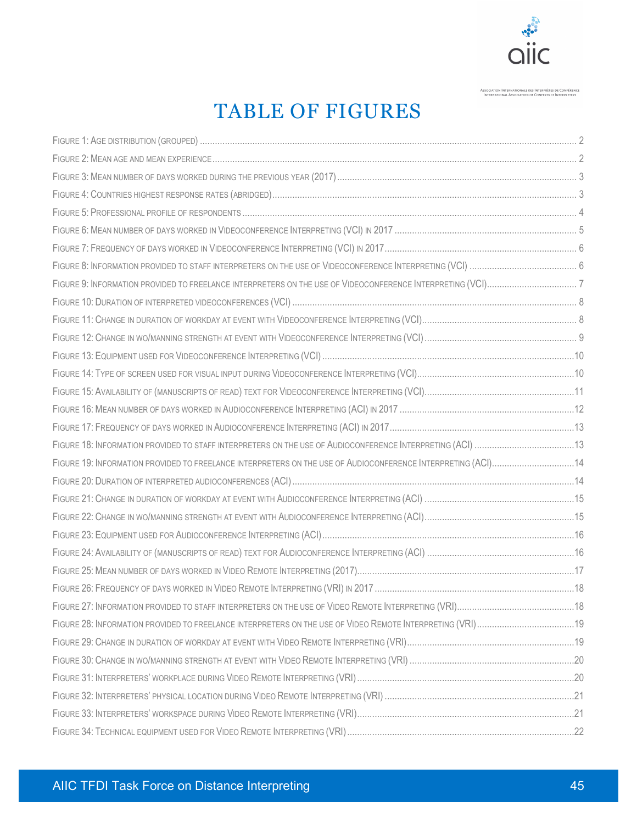

#### TABLE OF FIGURES

| FIGURE 19: INFORMATION PROVIDED TO FREELANCE INTERPRETERS ON THE USE OF AUDIOCONFERENCE INTERPRETING (ACI)14 |  |
|--------------------------------------------------------------------------------------------------------------|--|
|                                                                                                              |  |
|                                                                                                              |  |
|                                                                                                              |  |
|                                                                                                              |  |
|                                                                                                              |  |
|                                                                                                              |  |
|                                                                                                              |  |
|                                                                                                              |  |
|                                                                                                              |  |
|                                                                                                              |  |
|                                                                                                              |  |
|                                                                                                              |  |
|                                                                                                              |  |
|                                                                                                              |  |
|                                                                                                              |  |